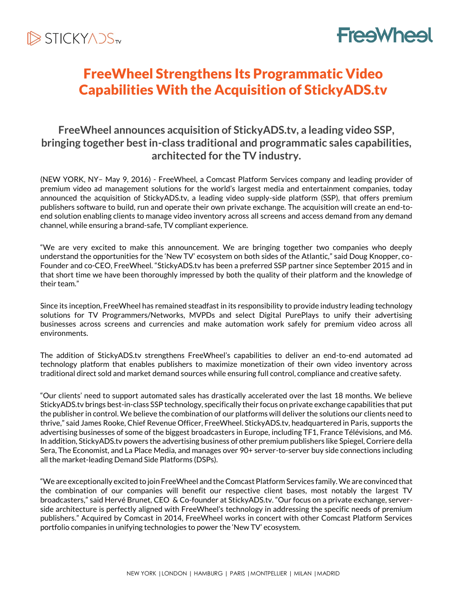

# **FreeWheel**

## FreeWheel Strengthens Its Programmatic Video Capabilities With the Acquisition of StickyADS.tv

## **FreeWheel announces acquisition of StickyADS.tv, a leading video SSP, bringing together best in-class traditional and programmatic sales capabilities, architected for the TV industry.**

(NEW YORK, NY– May 9, 2016) - FreeWheel, a Comcast Platform Services company and leading provider of premium video ad management solutions for the world's largest media and entertainment companies, today announced the acquisition of StickyADS.tv, a leading video supply-side platform (SSP), that offers premium publishers software to build, run and operate their own private exchange. The acquisition will create an end-toend solution enabling clients to manage video inventory across all screens and access demand from any demand channel, while ensuring a brand-safe, TV compliant experience.

"We are very excited to make this announcement. We are bringing together two companies who deeply understand the opportunities for the 'New TV' ecosystem on both sides of the Atlantic," said Doug Knopper, co-Founder and co-CEO, FreeWheel. "StickyADS.tv has been a preferred SSP partner since September 2015 and in that short time we have been thoroughly impressed by both the quality of their platform and the knowledge of their team."

Since its inception, FreeWheel has remained steadfast in its responsibility to provide industry leading technology solutions for TV Programmers/Networks, MVPDs and select Digital PurePlays to unify their advertising businesses across screens and currencies and make automation work safely for premium video across all environments.

The addition of StickyADS.tv strengthens FreeWheel's capabilities to deliver an end-to-end automated ad technology platform that enables publishers to maximize monetization of their own video inventory across traditional direct sold and market demand sources while ensuring full control, compliance and creative safety.

"Our clients' need to support automated sales has drastically accelerated over the last 18 months. We believe StickyADS.tv brings best-in-class SSP technology, specifically their focus on private exchange capabilities that put the publisher in control. We believe the combination of our platforms will deliver the solutions our clients need to thrive," said James Rooke, Chief Revenue Officer, FreeWheel. StickyADS.tv, headquartered in Paris, supports the advertising businesses of some of the biggest broadcasters in Europe, including TF1, France Télévisions, and M6. In addition, StickyADS.tv powers the advertising business of other premium publishers like Spiegel, Corriere della Sera, The Economist, and La Place Media, and manages over 90+ server-to-server buy side connections including all the market-leading Demand Side Platforms (DSPs).

"We are exceptionally excited to join FreeWheel and the Comcast Platform Services family. We are convinced that the combination of our companies will benefit our respective client bases, most notably the largest TV broadcasters," said Hervé Brunet, CEO & Co-founder at StickyADS.tv. "Our focus on a private exchange, serverside architecture is perfectly aligned with FreeWheel's technology in addressing the specific needs of premium publishers." Acquired by Comcast in 2014, FreeWheel works in concert with other Comcast Platform Services portfolio companies in unifying technologies to power the 'New TV' ecosystem.